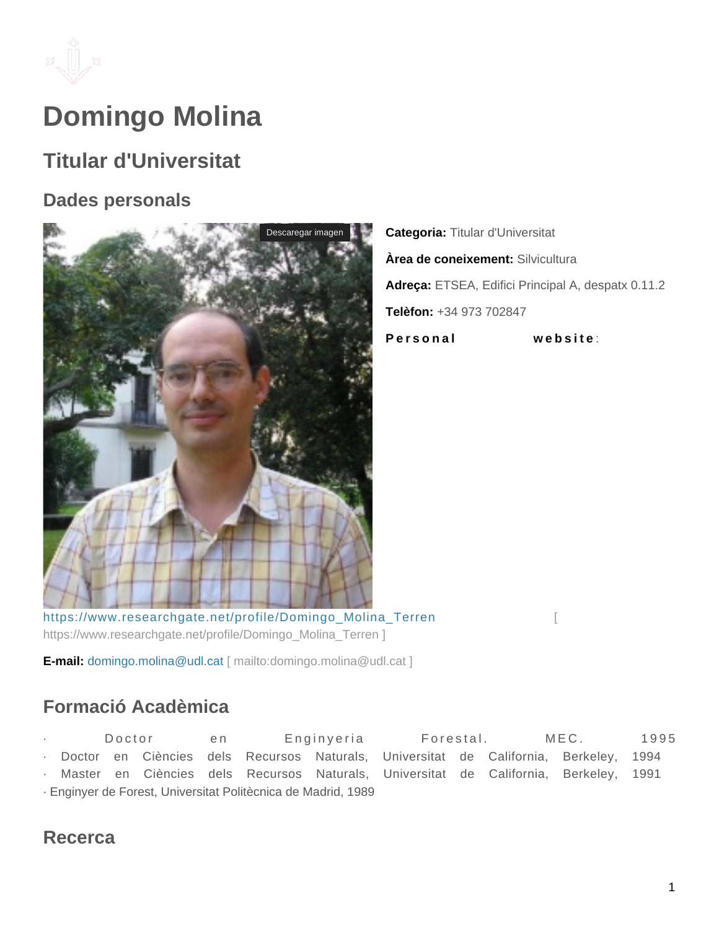

# **Domingo Molina**

## **Titular d'Universitat**

#### **Dades personals**



**Categoria:** Titular d'Universitat **Àrea de coneixement:** Silvicultura **Adreça:** ETSEA, Edifici Principal A, despatx 0.11.2 **Telèfon:** +34 973 702847 **Personal** website:

[https://www.researchgate.net/profile/Domingo\\_Molina\\_Terren](https://www.researchgate.net/profile/Domingo_Molina_Terren) [ [https://www.researchgate.net/profile/Domingo\\_Molina\\_Terren \]](https://www.researchgate.net/profile/Domingo_Molina_Terren)

**E-mail:** domingo.molina@udl.cat [ mailto:domingo.molina@udl.cat ]

### **Formació Acadèmica**

Doctor en Enginyeria Forestal. MEC. 1995 Doctor en Ciències dels Recursos Naturals, Universitat de California, Berkeley, 1994 Master en Ciències dels Recursos Naturals, Universitat de California, Berkeley, 1991 · Enginyer de Forest, Universitat Politècnica de Madrid, 1989

#### **Recerca**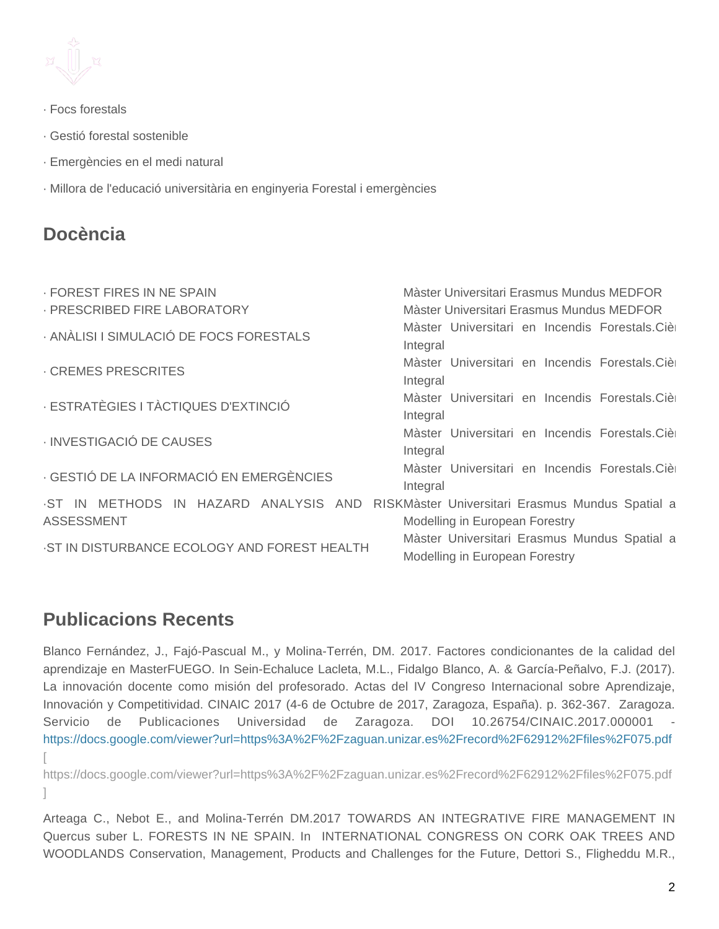

- · Focs forestals
- · Gestió forestal sostenible
- · Emergències en el medi natural
- · Millora de l'educació universitària en enginyeria Forestal i emergències

#### **Docència**

| · FOREST FIRES IN NE SPAIN                                 | Màster Universitari Erasmus Mundus MEDFOR                                          |  |  |  |
|------------------------------------------------------------|------------------------------------------------------------------------------------|--|--|--|
| · PRESCRIBED FIRE LABORATORY                               | Màster Universitari Erasmus Mundus MEDFOR                                          |  |  |  |
| · ANÀLISI I SIMULACIÓ DE FOCS FORESTALS                    | Màster Universitari en Incendis Forestals. Cière<br>Integral                       |  |  |  |
| <b>CREMES PRESCRITES</b>                                   | Màster Universitari en Incendis Forestals.Cièr<br>Integral                         |  |  |  |
| · ESTRATÈGIES I TÀCTIQUES D'EXTINCIÓ                       | Màster Universitari en Incendis Forestals. Cière<br>Integral                       |  |  |  |
| · INVESTIGACIÓ DE CAUSES                                   | Màster Universitari en Incendis Forestals. Cière<br>Integral                       |  |  |  |
| - GESTIÓ DE LA INFORMACIÓ EN EMERGÈNCIES                   | Màster Universitari en Incendis Forestals. Cière<br>Integral                       |  |  |  |
| .ST IN METHODS IN HAZARD ANALYSIS AND<br><b>ASSESSMENT</b> | RISKMäster Universitari Erasmus Mundus Spatial a<br>Modelling in European Forestry |  |  |  |
| -ST IN DISTURBANCE ECOLOGY AND FOREST HEALTH               | Màster Universitari Erasmus Mundus Spatial a<br>Modelling in European Forestry     |  |  |  |

#### **Publicacions Recents**

Blanco Fernández, J., Fajó-Pascual M., y Molina-Terrén, DM. 2017. Factores condicionantes de la calidad del aprendizaje en MasterFUEGO. In Sein-Echaluce Lacleta, M.L., Fidalgo Blanco, A. & García-Peñalvo, F.J. (2017). La innovación docente como misión del profesorado. Actas del IV Congreso Internacional sobre Aprendizaje, Innovación y Competitividad. CINAIC 2017 (4-6 de Octubre de 2017, Zaragoza, España). p. 362-367. Zaragoza. Servicio de Publicaciones Universidad de Zaragoza. DOI 10.26754/CINAIC.2017.000001 <https://docs.google.com/viewer?url=https%3A%2F%2Fzaguan.unizar.es%2Frecord%2F62912%2Ffiles%2F075.pdf> [\[](https://docs.google.com/viewer?url=https%3A%2F%2Fzaguan.unizar.es%2Frecord%2F62912%2Ffiles%2F075.pdf) 

<https://docs.google.com/viewer?url=https%3A%2F%2Fzaguan.unizar.es%2Frecord%2F62912%2Ffiles%2F075.pdf> [\]](https://docs.google.com/viewer?url=https%3A%2F%2Fzaguan.unizar.es%2Frecord%2F62912%2Ffiles%2F075.pdf)

Arteaga C., Nebot E., and Molina-Terrén DM.2017 TOWARDS AN INTEGRATIVE FIRE MANAGEMENT IN Quercus suber L. FORESTS IN NE SPAIN. In INTERNATIONAL CONGRESS ON CORK OAK TREES AND WOODLANDS Conservation, Management, Products and Challenges for the Future, Dettori S., Fligheddu M.R.,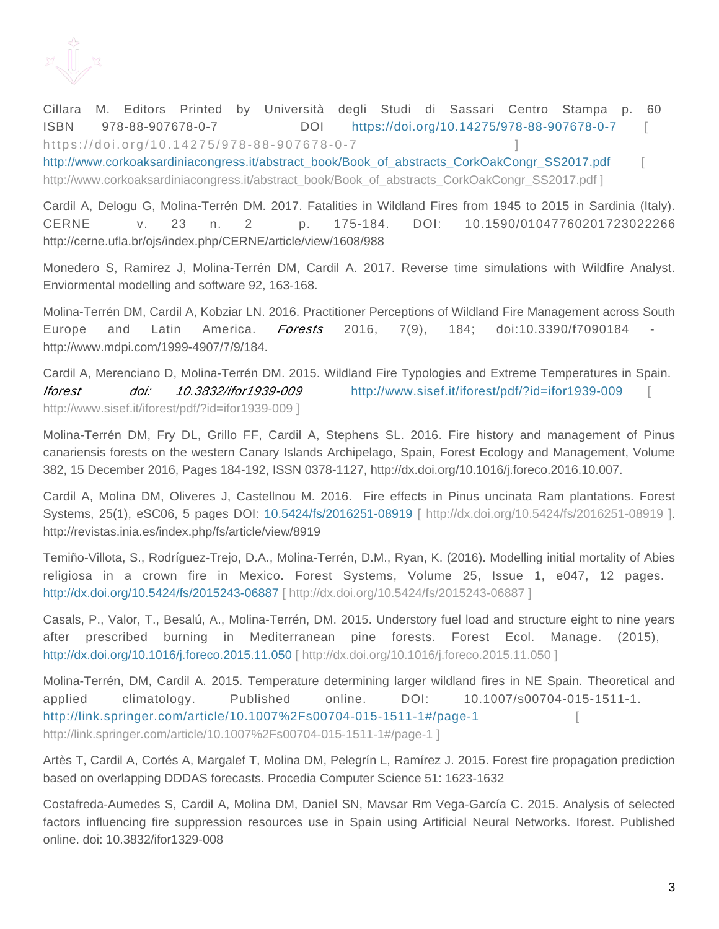

Cillara M. Editors Printed by Università degli Studi di Sassari Centro Stampa p. 60 ISBN 978-88-907678-0-7 DOI <https://doi.org/10.14275/978-88-907678-0-7>[ https://doi.org/10.14275/978-88-907678-0-7

http://www.corkoaksardiniacongress.it/abstract\_book/Book\_of\_abstracts\_CorkOakCongr\_SS2017.pdf [http://www.corkoaksardiniacongress.it/abstract\\_book/Book\\_of\\_abstracts\\_CorkOakCongr\\_SS2017.pdf \]](http://www.corkoaksardiniacongress.it/abstract_book/Book_of_abstracts_CorkOakCongr_SS2017.pdf)

Cardil A, Delogu G, Molina-Terrén DM. 2017. Fatalities in Wildland Fires from 1945 to 2015 in Sardinia (Italy). CERNE v. 23 n. 2 p. 175-184. DOI: 10.1590/01047760201723022266 http://cerne.ufla.br/ojs/index.php/CERNE/article/view/1608/988

Monedero S, Ramirez J, Molina-Terrén DM, Cardil A. 2017. Reverse time simulations with Wildfire Analyst. Enviormental modelling and software 92, 163-168.

Molina-Terrén DM, Cardil A, Kobziar LN. 2016. Practitioner Perceptions of Wildland Fire Management across South Europe and Latin America. *Forests* 2016, 7(9), 184; doi:10.3390/f7090184 http://www.mdpi.com/1999-4907/7/9/184.

Cardil A, Merenciano D, Molina-Terrén DM. 2015. Wildland Fire Typologies and Extreme Temperatures in Spain. Iforest doi: 10.3832/ifor1939-009 http://www.sisef.it/iforest/pdf/?id=ifor1939-009 [http://www.sisef.it/iforest/pdf/?id=ifor1939-009 \]](http://www.sisef.it/iforest/pdf/?id=ifor1939-009)

Molina-Terrén DM, Fry DL, Grillo FF, Cardil A, Stephens SL. 2016. Fire history and management of Pinus canariensis forests on the western Canary Islands Archipelago, Spain, Forest Ecology and Management, Volume 382, 15 December 2016, Pages 184-192, ISSN 0378-1127, http://dx.doi.org/10.1016/j.foreco.2016.10.007.

Cardil A, Molina DM, Oliveres J, Castellnou M. 2016. Fire effects in Pinus uncinata Ram plantations. Forest Systems, 25(1), eSC06, 5 pages DOI: [10.5424/fs/2016251-08919 \[ http://dx.doi.org/10.5424/fs/2016251-08919 \]](http://dx.doi.org/10.5424/fs/2016251-08919). http://revistas.inia.es/index.php/fs/article/view/8919

Temiño-Villota, S., Rodríguez-Trejo, D.A., Molina-Terrén, D.M., Ryan, K. (2016). Modelling initial mortality of Abies religiosa in a crown fire in Mexico. Forest Systems, Volume 25, Issue 1, e047, 12 pages. [http://dx.doi.org/10.5424/fs/2015243-06887 \[ http://dx.doi.org/10.5424/fs/2015243-06887 \]](http://dx.doi.org/10.5424/fs/2015243-06887)

Casals, P., Valor, T., Besalú, A., Molina-Terrén, DM. 2015. Understory fuel load and structure eight to nine years after prescribed burning in Mediterranean pine forests. Forest Ecol. Manage. (2015), [http://dx.doi.org/10.1016/j.foreco.2015.11.050 \[ http://dx.doi.org/10.1016/j.foreco.2015.11.050 \]](http://dx.doi.org/10.1016/j.foreco.2015.11.050)

Molina-Terrén, DM, Cardil A. 2015. Temperature determining larger wildland fires in NE Spain. Theoretical and applied climatology. Published online. DOI: 10.1007/s00704-015-1511-1. <http://link.springer.com/article/10.1007%2Fs00704-015-1511-1#/page-1>[ [http://link.springer.com/article/10.1007%2Fs00704-015-1511-1#/page-1 \]](http://link.springer.com/article/10.1007%2Fs00704-015-1511-1#/page-1)

Artès T, Cardil A, Cortés A, Margalef T, Molina DM, Pelegrín L, Ramírez J. 2015. Forest fire propagation prediction based on overlapping DDDAS forecasts. Procedia Computer Science 51: 1623-1632

Costafreda-Aumedes S, Cardil A, Molina DM, Daniel SN, Mavsar Rm Vega-García C. 2015. Analysis of selected factors influencing fire suppression resources use in Spain using Artificial Neural Networks. Iforest. Published online. doi: 10.3832/ifor1329-008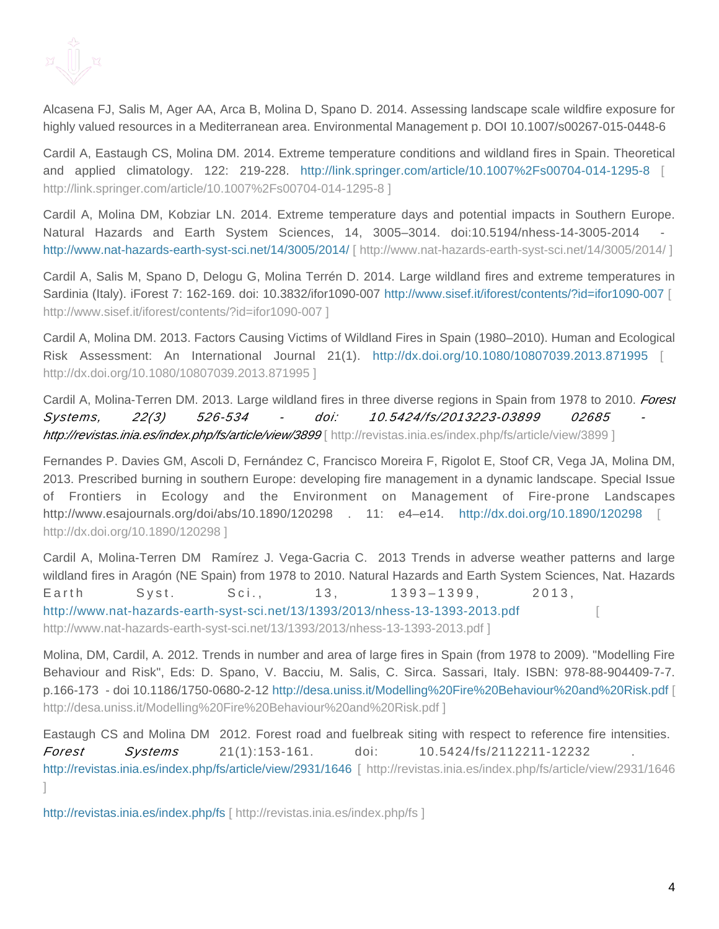

Alcasena FJ, Salis M, Ager AA, Arca B, Molina D, Spano D. 2014. Assessing landscape scale wildfire exposure for highly valued resources in a Mediterranean area. Environmental Management p. DOI 10.1007/s00267-015-0448-6

Cardil A, Eastaugh CS, Molina DM. 2014. Extreme temperature conditions and wildland fires in Spain. Theoretical and applied climatology. 122: 219-228. <http://link.springer.com/article/10.1007%2Fs00704-014-1295-8>[ [http://link.springer.com/article/10.1007%2Fs00704-014-1295-8 \]](http://link.springer.com/article/10.1007%2Fs00704-014-1295-8)

Cardil A, Molina DM, Kobziar LN. 2014. Extreme temperature days and potential impacts in Southern Europe. Natural Hazards and Earth System Sciences, 14, 3005–3014. doi:10.5194/nhess-14-3005-2014 [http://www.nat-hazards-earth-syst-sci.net/14/3005/2014/ \[ http://www.nat-hazards-earth-syst-sci.net/14/3005/2014/ \]](http://www.nat-hazards-earth-syst-sci.net/14/3005/2014/)

Cardil A, Salis M, Spano D, Delogu G, Molina Terrén D. 2014. Large wildland fires and extreme temperatures in Sardinia (Italy). iForest 7: 162-169. doi: 10.3832/ifor1090-007 [http://www.sisef.it/iforest/contents/?id=ifor1090-007 \[](http://www.sisef.it/iforest/contents/?id=ifor1090-007)  [http://www.sisef.it/iforest/contents/?id=ifor1090-007 \]](http://www.sisef.it/iforest/contents/?id=ifor1090-007)

Cardil A, Molina DM. 2013. Factors Causing Victims of Wildland Fires in Spain (1980–2010). Human and Ecological Risk Assessment: An International Journal 21(1). <http://dx.doi.org/10.1080/10807039.2013.871995>[ [http://dx.doi.org/10.1080/10807039.2013.871995 \]](http://dx.doi.org/10.1080/10807039.2013.871995)

Cardil A, Molina-Terren DM. 2013. Large wildland fires in three diverse regions in Spain from 1978 to 2010. Forest Systems, 22(3) 526-534 - doi: 10.5424/fs/2013223-03899 02685 - http://revistas.inia.es/index.php/fs/article/view/3899 [\[ http://revistas.inia.es/index.php/fs/article/view/3899 \]](http://revistas.inia.es/index.php/fs/article/view/3899)

Fernandes P. Davies GM, Ascoli D, Fernández C, Francisco Moreira F, Rigolot E, Stoof CR, Vega JA, Molina DM, 2013. Prescribed burning in southern Europe: developing fire management in a dynamic landscape. Special Issue of Frontiers in Ecology and the Environment on Management of Fire-prone Landscapes http://www.esajournals.org/doi/abs/10.1890/120298 . 11: e4–e14. <http://dx.doi.org/10.1890/120298>[ [http://dx.doi.org/10.1890/120298 \]](http://dx.doi.org/10.1890/120298)

Cardil A, Molina-Terren DM Ramírez J. Vega-Gacria C. 2013 Trends in adverse weather patterns and large wildland fires in Aragón (NE Spain) from 1978 to 2010. Natural Hazards and Earth System Sciences, Nat. Hazards Earth Syst. Sci., 13, 1393-1399, 2013, <http://www.nat-hazards-earth-syst-sci.net/13/1393/2013/nhess-13-1393-2013.pdf>[ [http://www.nat-hazards-earth-syst-sci.net/13/1393/2013/nhess-13-1393-2013.pdf \]](http://www.nat-hazards-earth-syst-sci.net/13/1393/2013/nhess-13-1393-2013.pdf)

Molina, DM, Cardil, A. 2012. Trends in number and area of large fires in Spain (from 1978 to 2009). "Modelling Fire Behaviour and Risk", Eds: D. Spano, V. Bacciu, M. Salis, C. Sirca. Sassari, Italy. ISBN: 978-88-904409-7-7. p.166-173 - doi 10.1186/1750-0680-2-12 [http://desa.uniss.it/Modelling%20Fire%20Behaviour%20and%20Risk.pdf \[](http://desa.uniss.it/Modelling%20Fire%20Behaviour%20and%20Risk.pdf) [http://desa.uniss.it/Modelling%20Fire%20Behaviour%20and%20Risk.pdf \]](http://desa.uniss.it/Modelling%20Fire%20Behaviour%20and%20Risk.pdf)

Eastaugh CS and Molina DM 2012. Forest road and fuelbreak siting with respect to reference fire intensities. **Forest** Systems 21(1):153-161. doi: 10.5424/fs/2112211-12232 [http://revistas.inia.es/index.php/fs/article/view/2931/1646 \[ http://revistas.inia.es/index.php/fs/article/view/2931/1646](http://revistas.inia.es/index.php/fs/article/view/2931/1646) [\]](http://revistas.inia.es/index.php/fs/article/view/2931/1646)

[http://revistas.inia.es/index.php/fs \[ http://revistas.inia.es/index.php/fs \]](http://revistas.inia.es/index.php/fs)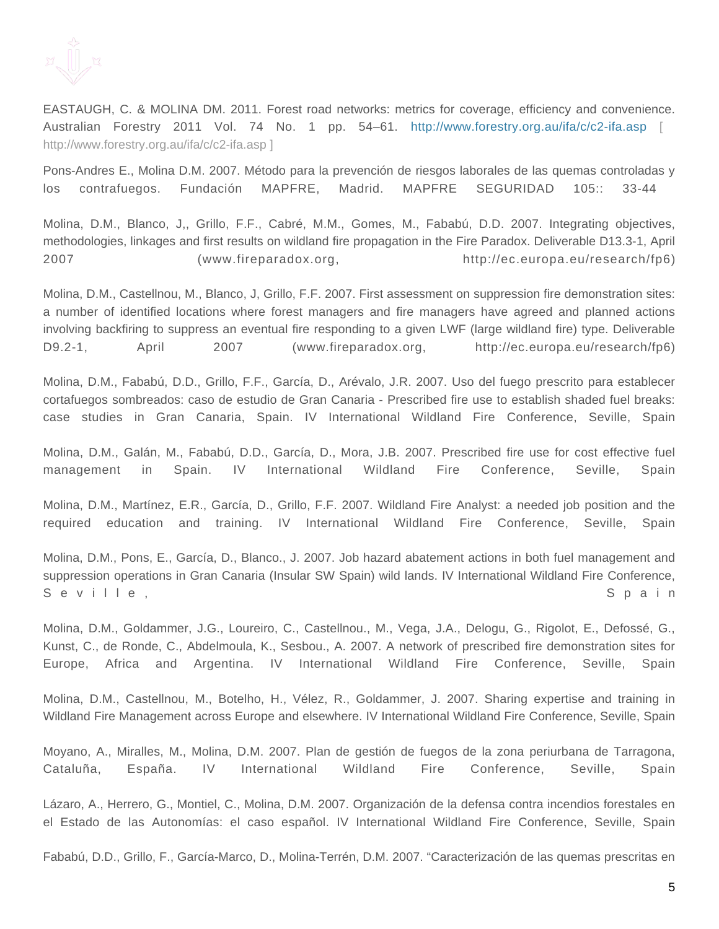

EASTAUGH, C. & MOLINA DM. 2011. Forest road networks: metrics for coverage, efficiency and convenience. Australian Forestry 2011 Vol. 74 No. 1 pp. 54–61. <http://www.forestry.org.au/ifa/c/c2-ifa.asp>[ [http://www.forestry.org.au/ifa/c/c2-ifa.asp \]](http://www.forestry.org.au/ifa/c/c2-ifa.asp)

Pons-Andres E., Molina D.M. 2007. Método para la prevención de riesgos laborales de las quemas controladas y los contrafuegos. Fundación MAPFRE, Madrid. MAPFRE SEGURIDAD 105:: 33-44

Molina, D.M., Blanco, J,, Grillo, F.F., Cabré, M.M., Gomes, M., Fababú, D.D. 2007. Integrating objectives, methodologies, linkages and first results on wildland fire propagation in the Fire Paradox. Deliverable D13.3-1, April 2007 (www.fireparadox.org, http://ec.europa.eu/research/fp6)

Molina, D.M., Castellnou, M., Blanco, J, Grillo, F.F. 2007. First assessment on suppression fire demonstration sites: a number of identified locations where forest managers and fire managers have agreed and planned actions involving backfiring to suppress an eventual fire responding to a given LWF (large wildland fire) type. Deliverable D9.2-1, April 2007 (www.fireparadox.org, http://ec.europa.eu/research/fp6)

Molina, D.M., Fababú, D.D., Grillo, F.F., García, D., Arévalo, J.R. 2007. Uso del fuego prescrito para establecer cortafuegos sombreados: caso de estudio de Gran Canaria - Prescribed fire use to establish shaded fuel breaks: case studies in Gran Canaria, Spain. IV International Wildland Fire Conference, Seville, Spain

Molina, D.M., Galán, M., Fababú, D.D., García, D., Mora, J.B. 2007. Prescribed fire use for cost effective fuel management in Spain. IV International Wildland Fire Conference, Seville, Spain

Molina, D.M., Martínez, E.R., García, D., Grillo, F.F. 2007. Wildland Fire Analyst: a needed job position and the required education and training. IV International Wildland Fire Conference, Seville, Spain

Molina, D.M., Pons, E., García, D., Blanco., J. 2007. Job hazard abatement actions in both fuel management and suppression operations in Gran Canaria (Insular SW Spain) wild lands. IV International Wildland Fire Conference, Seville, Seville, Seville, Sextement of the Sextement of Sextement and Sextement of Sextement and Sextement and Sextement and Sextement and Sextement and Sextement and Sextement and Sextement and Sextement and Sextement an

Molina, D.M., Goldammer, J.G., Loureiro, C., Castellnou., M., Vega, J.A., Delogu, G., Rigolot, E., Defossé, G., Kunst, C., de Ronde, C., Abdelmoula, K., Sesbou., A. 2007. A network of prescribed fire demonstration sites for Europe, Africa and Argentina. IV International Wildland Fire Conference, Seville, Spain

Molina, D.M., Castellnou, M., Botelho, H., Vélez, R., Goldammer, J. 2007. Sharing expertise and training in Wildland Fire Management across Europe and elsewhere. IV International Wildland Fire Conference, Seville, Spain

Moyano, A., Miralles, M., Molina, D.M. 2007. Plan de gestión de fuegos de la zona periurbana de Tarragona, Cataluña, España. IV International Wildland Fire Conference, Seville, Spain

Lázaro, A., Herrero, G., Montiel, C., Molina, D.M. 2007. Organización de la defensa contra incendios forestales en el Estado de las Autonomías: el caso español. IV International Wildland Fire Conference, Seville, Spain

Fababú, D.D., Grillo, F., García-Marco, D., Molina-Terrén, D.M. 2007. "Caracterización de las quemas prescritas en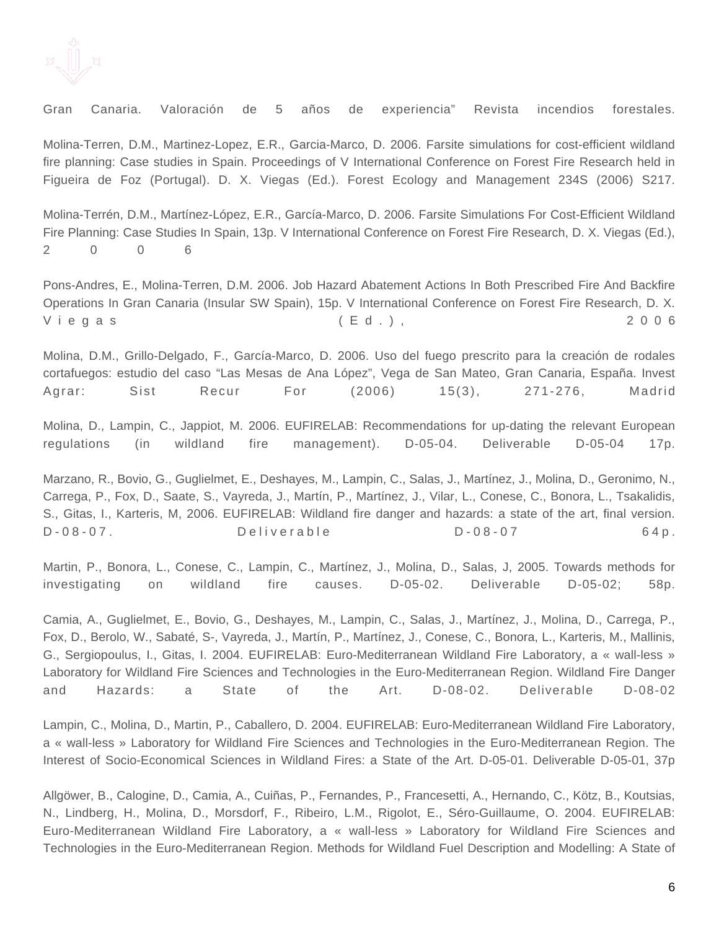

Gran Canaria. Valoración de 5 años de experiencia" Revista incendios forestales.

Molina-Terren, D.M., Martinez-Lopez, E.R., Garcia-Marco, D. 2006. Farsite simulations for cost-efficient wildland fire planning: Case studies in Spain. Proceedings of V International Conference on Forest Fire Research held in Figueira de Foz (Portugal). D. X. Viegas (Ed.). Forest Ecology and Management 234S (2006) S217.

Molina-Terrén, D.M., Martínez-López, E.R., García-Marco, D. 2006. Farsite Simulations For Cost-Efficient Wildland Fire Planning: Case Studies In Spain, 13p. V International Conference on Forest Fire Research, D. X. Viegas (Ed.), 2 0 0 6

Pons-Andres, E., Molina-Terren, D.M. 2006. Job Hazard Abatement Actions In Both Prescribed Fire And Backfire Operations In Gran Canaria (Insular SW Spain), 15p. V International Conference on Forest Fire Research, D. X. Viegas (Ed.), 2006

Molina, D.M., Grillo-Delgado, F., García-Marco, D. 2006. Uso del fuego prescrito para la creación de rodales cortafuegos: estudio del caso "Las Mesas de Ana López", Vega de San Mateo, Gran Canaria, España. Invest Agrar: Sist Recur For (2006) 15(3), 271-276, Madrid

Molina, D., Lampin, C., Jappiot, M. 2006. EUFIRELAB: Recommendations for up-dating the relevant European regulations (in wildland fire management). D-05-04. Deliverable D-05-04 17p.

Marzano, R., Bovio, G., Guglielmet, E., Deshayes, M., Lampin, C., Salas, J., Martínez, J., Molina, D., Geronimo, N., Carrega, P., Fox, D., Saate, S., Vayreda, J., Martín, P., Martínez, J., Vilar, L., Conese, C., Bonora, L., Tsakalidis, S., Gitas, I., Karteris, M, 2006. EUFIRELAB: Wildland fire danger and hazards: a state of the art, final version. D - 0 8 - 0 7 . C = 0 8 - 0 7 . C = 0 8 - 0 7 . C = 0 8 - 0 7 . C = 0 8 - 0 7 . C = 0 8 - 0 7 . C = 0 8 - 0 7 . C = 0 8 - 0 7 . C = 0 8 - 0 7 . C = 0 8 - 0 7 . C = 0 8 - 0 7 . C = 0 8 - 0 7 . C = 0 8 - 0 7 . C = 0 8 - 0 7

Martin, P., Bonora, L., Conese, C., Lampin, C., Martínez, J., Molina, D., Salas, J, 2005. Towards methods for investigating on wildland fire causes. D-05-02. Deliverable D-05-02; 58p.

Camia, A., Guglielmet, E., Bovio, G., Deshayes, M., Lampin, C., Salas, J., Martínez, J., Molina, D., Carrega, P., Fox, D., Berolo, W., Sabaté, S-, Vayreda, J., Martín, P., Martínez, J., Conese, C., Bonora, L., Karteris, M., Mallinis, G., Sergiopoulus, I., Gitas, I. 2004. EUFIRELAB: Euro-Mediterranean Wildland Fire Laboratory, a « wall-less » Laboratory for Wildland Fire Sciences and Technologies in the Euro-Mediterranean Region. Wildland Fire Danger and Hazards: a State of the Art. D-08-02. Deliverable D-08-02

Lampin, C., Molina, D., Martin, P., Caballero, D. 2004. EUFIRELAB: Euro-Mediterranean Wildland Fire Laboratory, a « wall-less » Laboratory for Wildland Fire Sciences and Technologies in the Euro-Mediterranean Region. The Interest of Socio-Economical Sciences in Wildland Fires: a State of the Art. D-05-01. Deliverable D-05-01, 37p

Allgöwer, B., Calogine, D., Camia, A., Cuiñas, P., Fernandes, P., Francesetti, A., Hernando, C., Kötz, B., Koutsias, N., Lindberg, H., Molina, D., Morsdorf, F., Ribeiro, L.M., Rigolot, E., Séro-Guillaume, O. 2004. EUFIRELAB: Euro-Mediterranean Wildland Fire Laboratory, a « wall-less » Laboratory for Wildland Fire Sciences and Technologies in the Euro-Mediterranean Region. Methods for Wildland Fuel Description and Modelling: A State of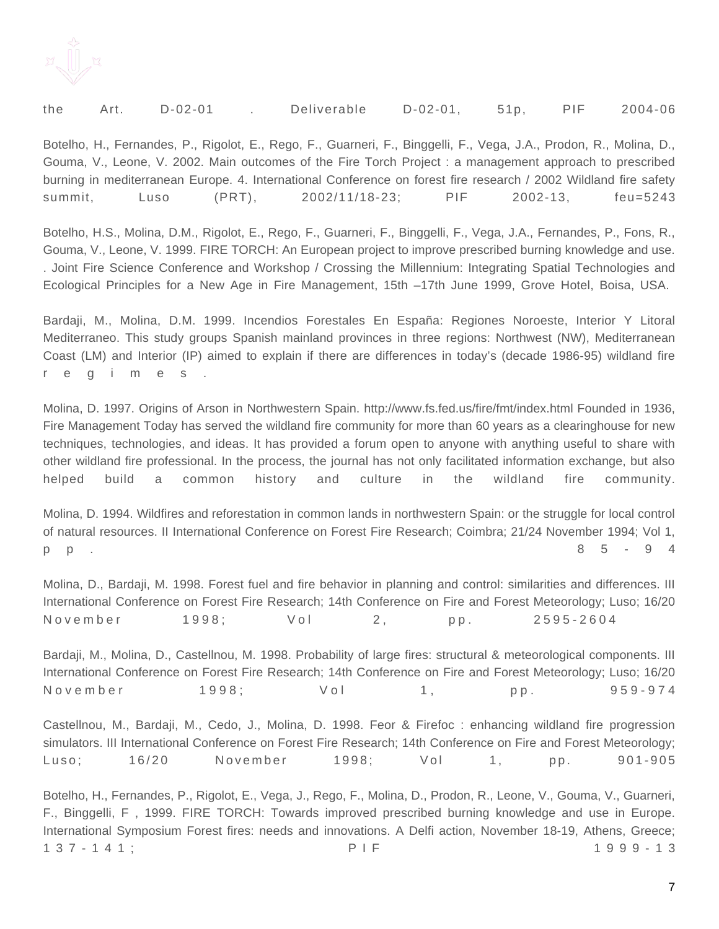

| the | Art. D-02-01 | Deliverable D-02-01, |  | 51p, PIF 2004-06 |
|-----|--------------|----------------------|--|------------------|
|     |              |                      |  |                  |

Botelho, H., Fernandes, P., Rigolot, E., Rego, F., Guarneri, F., Binggelli, F., Vega, J.A., Prodon, R., Molina, D., Gouma, V., Leone, V. 2002. Main outcomes of the Fire Torch Project : a management approach to prescribed burning in mediterranean Europe. 4. International Conference on forest fire research / 2002 Wildland fire safety summit, Luso (PRT), 2002/11/18-23; PIF 2002-13, feu=5243

Botelho, H.S., Molina, D.M., Rigolot, E., Rego, F., Guarneri, F., Binggelli, F., Vega, J.A., Fernandes, P., Fons, R., Gouma, V., Leone, V. 1999. FIRE TORCH: An European project to improve prescribed burning knowledge and use. . Joint Fire Science Conference and Workshop / Crossing the Millennium: Integrating Spatial Technologies and Ecological Principles for a New Age in Fire Management, 15th –17th June 1999, Grove Hotel, Boisa, USA.

Bardaji, M., Molina, D.M. 1999. Incendios Forestales En España: Regiones Noroeste, Interior Y Litoral Mediterraneo. This study groups Spanish mainland provinces in three regions: Northwest (NW), Mediterranean Coast (LM) and Interior (IP) aimed to explain if there are differences in today's (decade 1986-95) wildland fire r e g i m e s .

Molina, D. 1997. Origins of Arson in Northwestern Spain. http://www.fs.fed.us/fire/fmt/index.html Founded in 1936, Fire Management Today has served the wildland fire community for more than 60 years as a clearinghouse for new techniques, technologies, and ideas. It has provided a forum open to anyone with anything useful to share with other wildland fire professional. In the process, the journal has not only facilitated information exchange, but also helped build a common history and culture in the wildland fire community.

Molina, D. 1994. Wildfires and reforestation in common lands in northwestern Spain: or the struggle for local control of natural resources. II International Conference on Forest Fire Research; Coimbra; 21/24 November 1994; Vol 1, p p . 8 5 - 9 4

Molina, D., Bardaji, M. 1998. Forest fuel and fire behavior in planning and control: similarities and differences. III International Conference on Forest Fire Research; 14th Conference on Fire and Forest Meteorology; Luso; 16/20 N o v e m b e r  $r = 1998$ ;  $V = 2$ , pp. 2595-2604

Bardaji, M., Molina, D., Castellnou, M. 1998. Probability of large fires: structural & meteorological components. III International Conference on Forest Fire Research; 14th Conference on Fire and Forest Meteorology; Luso; 16/20 N ovember 1998; Vol 1, pp. 959-974

Castellnou, M., Bardaji, M., Cedo, J., Molina, D. 1998. Feor & Firefoc : enhancing wildland fire progression simulators. III International Conference on Forest Fire Research; 14th Conference on Fire and Forest Meteorology; Luso; 16/20 November 1998; Vol 1, pp. 901-905

Botelho, H., Fernandes, P., Rigolot, E., Vega, J., Rego, F., Molina, D., Prodon, R., Leone, V., Gouma, V., Guarneri, F., Binggelli, F , 1999. FIRE TORCH: Towards improved prescribed burning knowledge and use in Europe. International Symposium Forest fires: needs and innovations. A Delfi action, November 18-19, Athens, Greece; 1 3 7 - 1 4 1 ; P I F 1 9 9 9 - 1 3